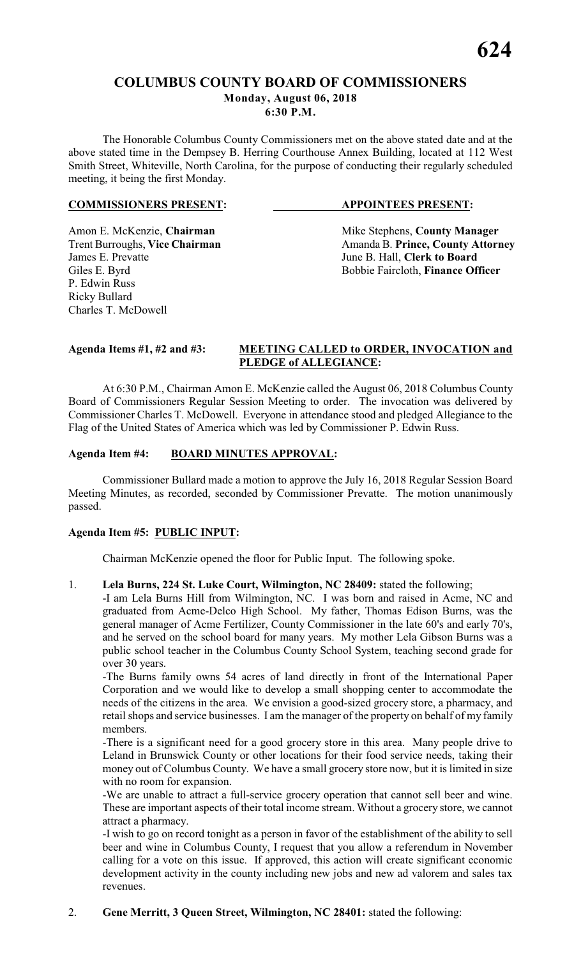# **COLUMBUS COUNTY BOARD OF COMMISSIONERS**

#### **Monday, August 06, 2018 6:30 P.M.**

The Honorable Columbus County Commissioners met on the above stated date and at the above stated time in the Dempsey B. Herring Courthouse Annex Building, located at 112 West Smith Street, Whiteville, North Carolina, for the purpose of conducting their regularly scheduled meeting, it being the first Monday.

# **COMMISSIONERS PRESENT: APPOINTEES PRESENT:**

P. Edwin Russ Ricky Bullard Charles T. McDowell

Amon E. McKenzie, **Chairman** Mike Stephens, **County Manager** Trent Burroughs, **Vice Chairman** Amanda B. **Prince, County Attorney**<br>James E. Prevatte June B. Hall, **Clerk to Board** June B. Hall, **Clerk to Board** Giles E. Byrd Bobbie Faircloth, **Finance Officer** 

# **Agenda Items #1, #2 and #3: MEETING CALLED to ORDER, INVOCATION and PLEDGE of ALLEGIANCE:**

At 6:30 P.M., Chairman Amon E. McKenzie called the August 06, 2018 Columbus County Board of Commissioners Regular Session Meeting to order. The invocation was delivered by Commissioner Charles T. McDowell. Everyone in attendance stood and pledged Allegiance to the Flag of the United States of America which was led by Commissioner P. Edwin Russ.

# **Agenda Item #4: BOARD MINUTES APPROVAL:**

Commissioner Bullard made a motion to approve the July 16, 2018 Regular Session Board Meeting Minutes, as recorded, seconded by Commissioner Prevatte. The motion unanimously passed.

# **Agenda Item #5: PUBLIC INPUT:**

Chairman McKenzie opened the floor for Public Input. The following spoke.

1. **Lela Burns, 224 St. Luke Court, Wilmington, NC 28409:** stated the following;

-I am Lela Burns Hill from Wilmington, NC. I was born and raised in Acme, NC and graduated from Acme-Delco High School. My father, Thomas Edison Burns, was the general manager of Acme Fertilizer, County Commissioner in the late 60's and early 70's, and he served on the school board for many years. My mother Lela Gibson Burns was a public school teacher in the Columbus County School System, teaching second grade for over 30 years.

-The Burns family owns 54 acres of land directly in front of the International Paper Corporation and we would like to develop a small shopping center to accommodate the needs of the citizens in the area. We envision a good-sized grocery store, a pharmacy, and retail shops and service businesses. I am the manager of the property on behalf of my family members.

-There is a significant need for a good grocery store in this area. Many people drive to Leland in Brunswick County or other locations for their food service needs, taking their money out of Columbus County. We have a small grocery store now, but it is limited in size with no room for expansion.

-We are unable to attract a full-service grocery operation that cannot sell beer and wine. These are important aspects of their total income stream. Without a grocery store, we cannot attract a pharmacy.

-I wish to go on record tonight as a person in favor of the establishment of the ability to sell beer and wine in Columbus County, I request that you allow a referendum in November calling for a vote on this issue. If approved, this action will create significant economic development activity in the county including new jobs and new ad valorem and sales tax revenues.

# 2. **Gene Merritt, 3 Queen Street, Wilmington, NC 28401:** stated the following: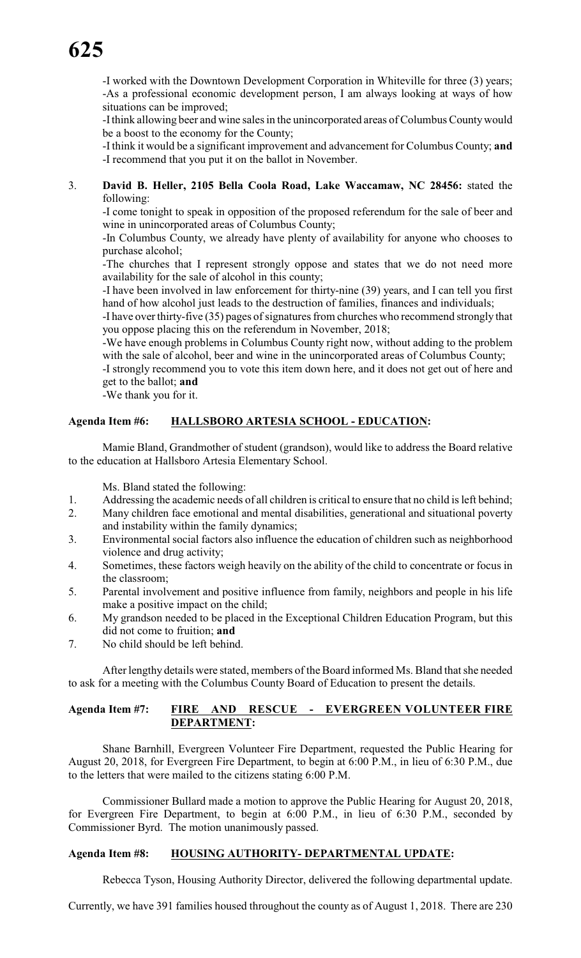-I worked with the Downtown Development Corporation in Whiteville for three (3) years; -As a professional economic development person, I am always looking at ways of how situations can be improved;

-I think allowing beer and wine sales in the unincorporated areas of Columbus County would be a boost to the economy for the County;

-I think it would be a significant improvement and advancement for Columbus County; **and** -I recommend that you put it on the ballot in November.

# 3. **David B. Heller, 2105 Bella Coola Road, Lake Waccamaw, NC 28456:** stated the following:

-I come tonight to speak in opposition of the proposed referendum for the sale of beer and wine in unincorporated areas of Columbus County;

-In Columbus County, we already have plenty of availability for anyone who chooses to purchase alcohol;

-The churches that I represent strongly oppose and states that we do not need more availability for the sale of alcohol in this county;

-I have been involved in law enforcement for thirty-nine (39) years, and I can tell you first hand of how alcohol just leads to the destruction of families, finances and individuals;

-I have over thirty-five (35) pages of signatures from churches who recommend strongly that you oppose placing this on the referendum in November, 2018;

-We have enough problems in Columbus County right now, without adding to the problem with the sale of alcohol, beer and wine in the unincorporated areas of Columbus County;

-I strongly recommend you to vote this item down here, and it does not get out of here and get to the ballot; **and**

-We thank you for it.

# **Agenda Item #6: HALLSBORO ARTESIA SCHOOL - EDUCATION:**

Mamie Bland, Grandmother of student (grandson), would like to address the Board relative to the education at Hallsboro Artesia Elementary School.

Ms. Bland stated the following:

- 1. Addressing the academic needs of all children is critical to ensure that no child is left behind;
- 2. Many children face emotional and mental disabilities, generational and situational poverty and instability within the family dynamics;
- 3. Environmental social factors also influence the education of children such as neighborhood violence and drug activity;
- 4. Sometimes, these factors weigh heavily on the ability of the child to concentrate or focus in the classroom;
- 5. Parental involvement and positive influence from family, neighbors and people in his life make a positive impact on the child;
- 6. My grandson needed to be placed in the Exceptional Children Education Program, but this did not come to fruition; **and**
- 7. No child should be left behind.

After lengthy details were stated, members of the Board informed Ms. Bland that she needed to ask for a meeting with the Columbus County Board of Education to present the details.

# **Agenda Item #7: FIRE AND RESCUE - EVERGREEN VOLUNTEER FIRE DEPARTMENT:**

Shane Barnhill, Evergreen Volunteer Fire Department, requested the Public Hearing for August 20, 2018, for Evergreen Fire Department, to begin at 6:00 P.M., in lieu of 6:30 P.M., due to the letters that were mailed to the citizens stating 6:00 P.M.

Commissioner Bullard made a motion to approve the Public Hearing for August 20, 2018, for Evergreen Fire Department, to begin at 6:00 P.M., in lieu of 6:30 P.M., seconded by Commissioner Byrd. The motion unanimously passed.

# **Agenda Item #8: HOUSING AUTHORITY- DEPARTMENTAL UPDATE:**

Rebecca Tyson, Housing Authority Director, delivered the following departmental update.

Currently, we have 391 families housed throughout the county as of August 1, 2018. There are 230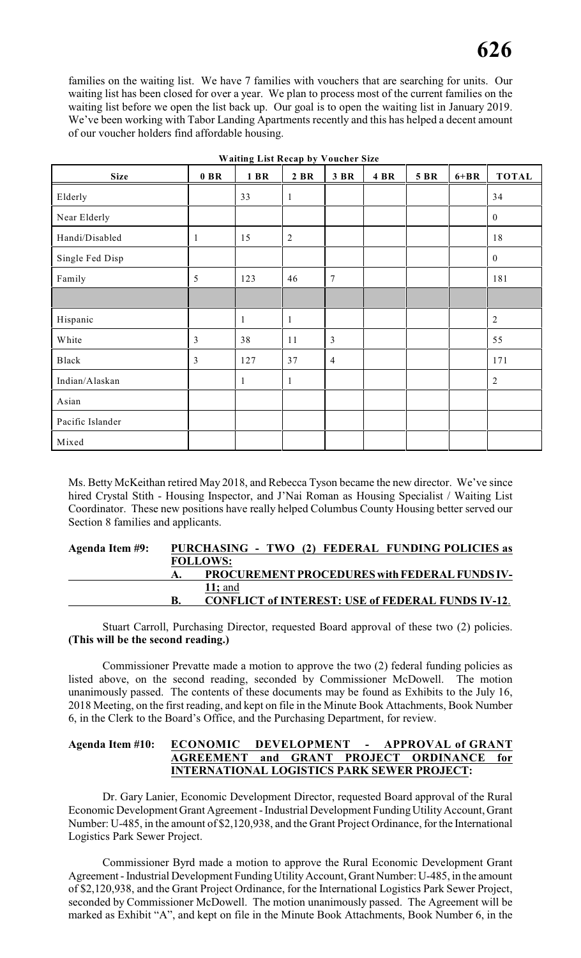families on the waiting list. We have 7 families with vouchers that are searching for units. Our waiting list has been closed for over a year. We plan to process most of the current families on the waiting list before we open the list back up. Our goal is to open the waiting list in January 2019. We've been working with Tabor Landing Apartments recently and this has helped a decent amount of our voucher holders find affordable housing.

| <b>Size</b>      | $0$ BR         | 1 BR         | 2 BR           | 3 BR           | 4 BR | <b>5 BR</b> | $6 + BR$ | <b>TOTAL</b>     |
|------------------|----------------|--------------|----------------|----------------|------|-------------|----------|------------------|
| Elderly          |                | 33           | $\mathbf{1}$   |                |      |             |          | 34               |
| Near Elderly     |                |              |                |                |      |             |          | $\boldsymbol{0}$ |
| Handi/Disabled   | $\mathbf{1}$   | 15           | $\overline{2}$ |                |      |             |          | 18               |
| Single Fed Disp  |                |              |                |                |      |             |          | $\boldsymbol{0}$ |
| Family           | 5              | 123          | 46             | $\overline{7}$ |      |             |          | 181              |
|                  |                |              |                |                |      |             |          |                  |
| Hispanic         |                | $\mathbf{1}$ | $\mathbf{1}$   |                |      |             |          | $\sqrt{2}$       |
| White            | $\overline{3}$ | 38           | 11             | $\overline{3}$ |      |             |          | 55               |
| Black            | 3              | 127          | 37             | $\overline{4}$ |      |             |          | 171              |
| Indian/Alaskan   |                | 1            | $\mathbf{1}$   |                |      |             |          | $\sqrt{2}$       |
| Asian            |                |              |                |                |      |             |          |                  |
| Pacific Islander |                |              |                |                |      |             |          |                  |
| Mixed            |                |              |                |                |      |             |          |                  |

**Waiting List Recap by Voucher Size**

Ms. Betty McKeithan retired May 2018, and Rebecca Tyson became the new director. We've since hired Crystal Stith - Housing Inspector, and J'Nai Roman as Housing Specialist / Waiting List Coordinator. These new positions have really helped Columbus County Housing better served our Section 8 families and applicants.

| Agenda Item #9: | PURCHASING - TWO (2) FEDERAL FUNDING POLICIES as         |
|-----------------|----------------------------------------------------------|
|                 | <b>FOLLOWS:</b>                                          |
|                 | <b>PROCUREMENT PROCEDURES with FEDERAL FUNDS IV-</b>     |
|                 | 11; and                                                  |
|                 | <b>CONFLICT of INTEREST: USE of FEDERAL FUNDS IV-12.</b> |

Stuart Carroll, Purchasing Director, requested Board approval of these two (2) policies. **(This will be the second reading.)**

Commissioner Prevatte made a motion to approve the two (2) federal funding policies as listed above, on the second reading, seconded by Commissioner McDowell. The motion unanimously passed. The contents of these documents may be found as Exhibits to the July 16, 2018 Meeting, on the first reading, and kept on file in the Minute Book Attachments, Book Number 6, in the Clerk to the Board's Office, and the Purchasing Department, for review.

# **Agenda Item #10: ECONOMIC DEVELOPMENT - APPROVAL of GRANT AGREEMENT and GRANT PROJECT ORDINANCE for INTERNATIONAL LOGISTICS PARK SEWER PROJECT:**

Dr. Gary Lanier, Economic Development Director, requested Board approval of the Rural Economic Development Grant Agreement - Industrial Development Funding Utility Account, Grant Number: U-485, in the amount of \$2,120,938, and the Grant Project Ordinance, for the International Logistics Park Sewer Project.

Commissioner Byrd made a motion to approve the Rural Economic Development Grant Agreement - Industrial Development Funding Utility Account, Grant Number: U-485, in the amount of \$2,120,938, and the Grant Project Ordinance, for the International Logistics Park Sewer Project, seconded by Commissioner McDowell. The motion unanimously passed. The Agreement will be marked as Exhibit "A", and kept on file in the Minute Book Attachments, Book Number 6, in the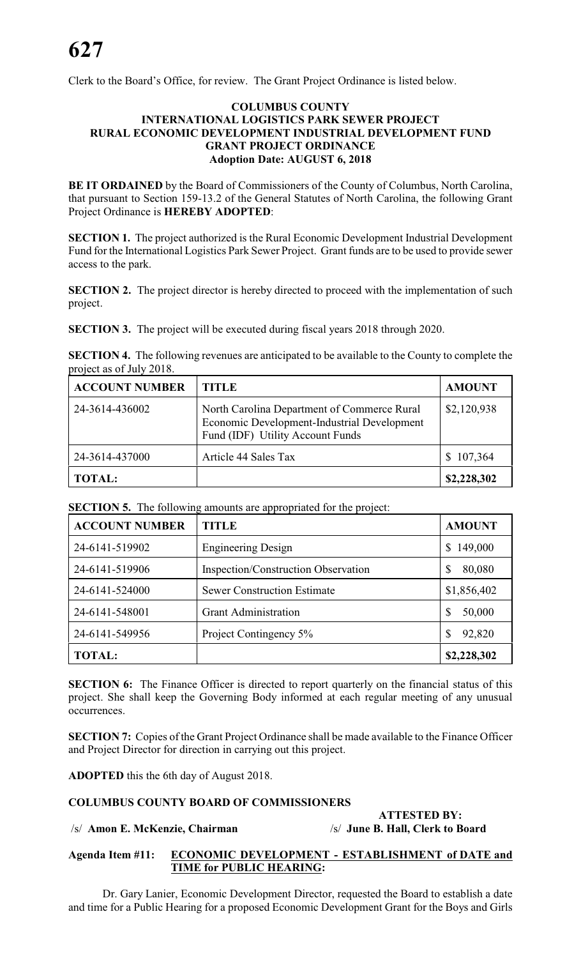Clerk to the Board's Office, for review. The Grant Project Ordinance is listed below.

# **COLUMBUS COUNTY INTERNATIONAL LOGISTICS PARK SEWER PROJECT RURAL ECONOMIC DEVELOPMENT INDUSTRIAL DEVELOPMENT FUND GRANT PROJECT ORDINANCE Adoption Date: AUGUST 6, 2018**

**BE IT ORDAINED** by the Board of Commissioners of the County of Columbus, North Carolina, that pursuant to Section 159-13.2 of the General Statutes of North Carolina, the following Grant Project Ordinance is **HEREBY ADOPTED**:

**SECTION 1.** The project authorized is the Rural Economic Development Industrial Development Fund for the International Logistics Park Sewer Project. Grant funds are to be used to provide sewer access to the park.

**SECTION 2.** The project director is hereby directed to proceed with the implementation of such project.

**SECTION 3.** The project will be executed during fiscal years 2018 through 2020.

**SECTION 4.** The following revenues are anticipated to be available to the County to complete the project as of July 2018.

| <b>ACCOUNT NUMBER</b> | <b>TITLE</b>                                                                                                                   | <b>AMOUNT</b> |
|-----------------------|--------------------------------------------------------------------------------------------------------------------------------|---------------|
| 24-3614-436002        | North Carolina Department of Commerce Rural<br>Economic Development-Industrial Development<br>Fund (IDF) Utility Account Funds | \$2,120,938   |
| 24-3614-437000        | Article 44 Sales Tax                                                                                                           | \$107,364     |
| <b>TOTAL:</b>         |                                                                                                                                | \$2,228,302   |

**SECTION 5.** The following amounts are appropriated for the project:

| <b>ACCOUNT NUMBER</b> | TITLE                                      | <b>AMOUNT</b> |
|-----------------------|--------------------------------------------|---------------|
| 24-6141-519902        | <b>Engineering Design</b>                  | 149,000<br>S. |
| 24-6141-519906        | <b>Inspection/Construction Observation</b> | \$<br>80,080  |
| 24-6141-524000        | <b>Sewer Construction Estimate</b>         | \$1,856,402   |
| 24-6141-548001        | <b>Grant Administration</b>                | S<br>50,000   |
| 24-6141-549956        | Project Contingency 5%                     | 92,820<br>\$  |
| <b>TOTAL:</b>         |                                            | \$2,228,302   |

**SECTION 6:** The Finance Officer is directed to report quarterly on the financial status of this project. She shall keep the Governing Body informed at each regular meeting of any unusual occurrences.

**SECTION 7:** Copies of the Grant Project Ordinance shall be made available to the Finance Officer and Project Director for direction in carrying out this project.

**ADOPTED** this the 6th day of August 2018.

# **COLUMBUS COUNTY BOARD OF COMMISSIONERS**

# /s/ **Amon E. McKenzie, Chairman** /s/ **June B. Hall, Clerk to Board**

# **ATTESTED BY:**

#### **Agenda Item #11: ECONOMIC DEVELOPMENT - ESTABLISHMENT of DATE and TIME for PUBLIC HEARING:**

Dr. Gary Lanier, Economic Development Director, requested the Board to establish a date and time for a Public Hearing for a proposed Economic Development Grant for the Boys and Girls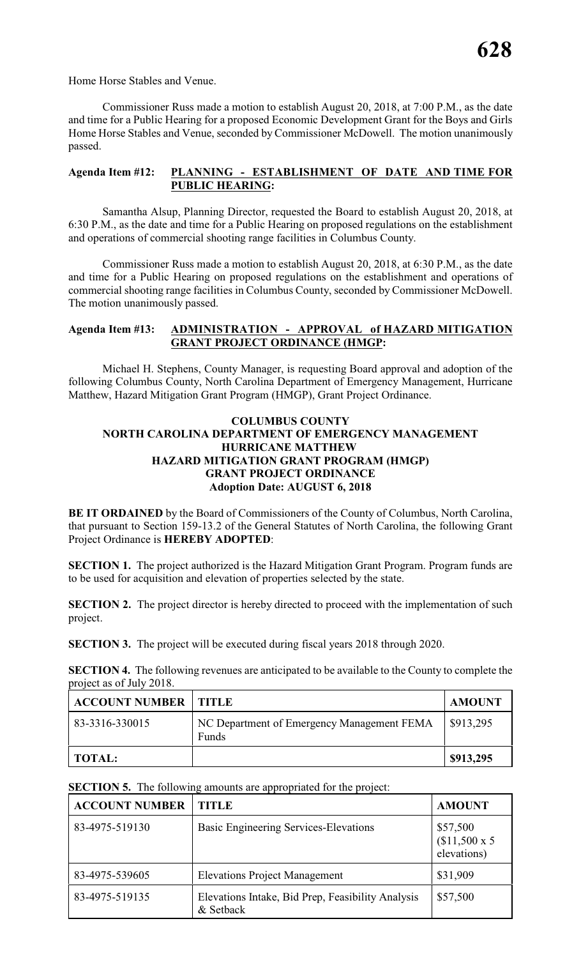Home Horse Stables and Venue.

Commissioner Russ made a motion to establish August 20, 2018, at 7:00 P.M., as the date and time for a Public Hearing for a proposed Economic Development Grant for the Boys and Girls Home Horse Stables and Venue, seconded by Commissioner McDowell. The motion unanimously passed.

# **Agenda Item #12: PLANNING - ESTABLISHMENT OF DATE AND TIME FOR PUBLIC HEARING:**

Samantha Alsup, Planning Director, requested the Board to establish August 20, 2018, at 6:30 P.M., as the date and time for a Public Hearing on proposed regulations on the establishment and operations of commercial shooting range facilities in Columbus County.

Commissioner Russ made a motion to establish August 20, 2018, at 6:30 P.M., as the date and time for a Public Hearing on proposed regulations on the establishment and operations of commercial shooting range facilities in Columbus County, seconded by Commissioner McDowell. The motion unanimously passed.

# **Agenda Item #13: ADMINISTRATION - APPROVAL of HAZARD MITIGATION GRANT PROJECT ORDINANCE (HMGP:**

Michael H. Stephens, County Manager, is requesting Board approval and adoption of the following Columbus County, North Carolina Department of Emergency Management, Hurricane Matthew, Hazard Mitigation Grant Program (HMGP), Grant Project Ordinance.

# **COLUMBUS COUNTY NORTH CAROLINA DEPARTMENT OF EMERGENCY MANAGEMENT HURRICANE MATTHEW HAZARD MITIGATION GRANT PROGRAM (HMGP) GRANT PROJECT ORDINANCE Adoption Date: AUGUST 6, 2018**

**BE IT ORDAINED** by the Board of Commissioners of the County of Columbus, North Carolina, that pursuant to Section 159-13.2 of the General Statutes of North Carolina, the following Grant Project Ordinance is **HEREBY ADOPTED**:

**SECTION 1.** The project authorized is the Hazard Mitigation Grant Program. Program funds are to be used for acquisition and elevation of properties selected by the state.

**SECTION 2.** The project director is hereby directed to proceed with the implementation of such project.

**SECTION 3.** The project will be executed during fiscal years 2018 through 2020.

**SECTION 4.** The following revenues are anticipated to be available to the County to complete the project as of July 2018.

| <b>ACCOUNT NUMBER   TITLE</b> |                                                     | <b>AMOUNT</b> |
|-------------------------------|-----------------------------------------------------|---------------|
| 83-3316-330015                | NC Department of Emergency Management FEMA<br>Funds | \$913,295     |
| TOTAL:                        |                                                     | \$913,295     |

**SECTION 5.** The following amounts are appropriated for the project:

| <b>ACCOUNT NUMBER</b> | <b>TITLE</b>                                                   | <b>AMOUNT</b>                                 |
|-----------------------|----------------------------------------------------------------|-----------------------------------------------|
| 83-4975-519130        | <b>Basic Engineering Services-Elevations</b>                   | \$57,500<br>$$11,500 \times 5$<br>elevations) |
| 83-4975-539605        | <b>Elevations Project Management</b>                           | \$31,909                                      |
| 83-4975-519135        | Elevations Intake, Bid Prep, Feasibility Analysis<br>& Setback | \$57,500                                      |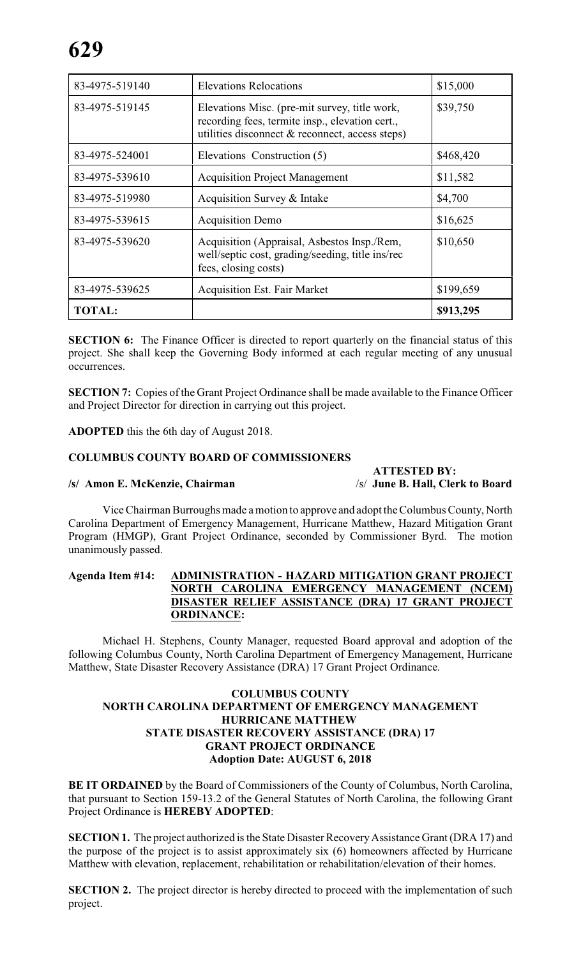| 83-4975-519140 | <b>Elevations Relocations</b>                                                                                                                       | \$15,000  |
|----------------|-----------------------------------------------------------------------------------------------------------------------------------------------------|-----------|
| 83-4975-519145 | Elevations Misc. (pre-mit survey, title work,<br>recording fees, termite insp., elevation cert.,<br>utilities disconnect & reconnect, access steps) | \$39,750  |
| 83-4975-524001 | Elevations Construction (5)                                                                                                                         | \$468,420 |
| 83-4975-539610 | <b>Acquisition Project Management</b>                                                                                                               | \$11,582  |
| 83-4975-519980 | Acquisition Survey & Intake                                                                                                                         | \$4,700   |
| 83-4975-539615 | <b>Acquisition Demo</b>                                                                                                                             | \$16,625  |
| 83-4975-539620 | Acquisition (Appraisal, Asbestos Insp./Rem,<br>well/septic cost, grading/seeding, title ins/rec<br>fees, closing costs)                             | \$10,650  |
| 83-4975-539625 | <b>Acquisition Est. Fair Market</b>                                                                                                                 | \$199,659 |
| <b>TOTAL:</b>  |                                                                                                                                                     | \$913,295 |

**SECTION 6:** The Finance Officer is directed to report quarterly on the financial status of this project. She shall keep the Governing Body informed at each regular meeting of any unusual occurrences.

**SECTION 7:** Copies of the Grant Project Ordinance shall be made available to the Finance Officer and Project Director for direction in carrying out this project.

**ADOPTED** this the 6th day of August 2018.

# **COLUMBUS COUNTY BOARD OF COMMISSIONERS**

# **/s/ Amon E. McKenzie, Chairman** /s/ **June B. Hall, Clerk to Board**

**ATTESTED BY:**<br>/s/ June B. Hall, Clerk to Board

Vice Chairman Burroughs made a motion to approve and adopt the Columbus County, North Carolina Department of Emergency Management, Hurricane Matthew, Hazard Mitigation Grant Program (HMGP), Grant Project Ordinance, seconded by Commissioner Byrd. The motion unanimously passed.

# **Agenda Item #14: ADMINISTRATION - HAZARD MITIGATION GRANT PROJECT NORTH CAROLINA EMERGENCY MANAGEMENT (NCEM) DISASTER RELIEF ASSISTANCE (DRA) 17 GRANT PROJECT ORDINANCE:**

Michael H. Stephens, County Manager, requested Board approval and adoption of the following Columbus County, North Carolina Department of Emergency Management, Hurricane Matthew, State Disaster Recovery Assistance (DRA) 17 Grant Project Ordinance.

# **COLUMBUS COUNTY NORTH CAROLINA DEPARTMENT OF EMERGENCY MANAGEMENT HURRICANE MATTHEW STATE DISASTER RECOVERY ASSISTANCE (DRA) 17 GRANT PROJECT ORDINANCE Adoption Date: AUGUST 6, 2018**

**BE IT ORDAINED** by the Board of Commissioners of the County of Columbus, North Carolina, that pursuant to Section 159-13.2 of the General Statutes of North Carolina, the following Grant Project Ordinance is **HEREBY ADOPTED**:

**SECTION 1.** The project authorized is the State Disaster Recovery Assistance Grant (DRA 17) and the purpose of the project is to assist approximately six (6) homeowners affected by Hurricane Matthew with elevation, replacement, rehabilitation or rehabilitation/elevation of their homes.

**SECTION 2.** The project director is hereby directed to proceed with the implementation of such project.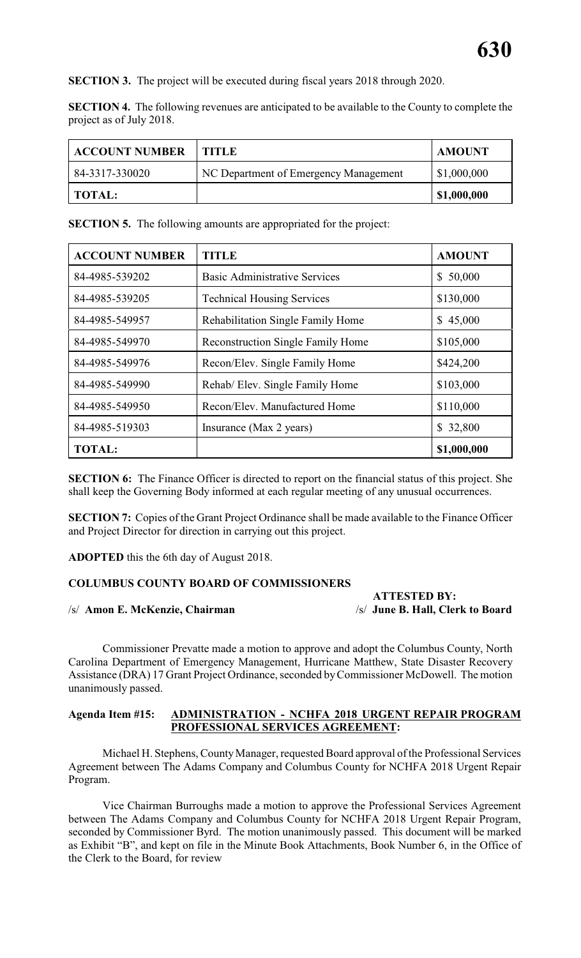**SECTION 3.** The project will be executed during fiscal years 2018 through 2020.

**SECTION 4.** The following revenues are anticipated to be available to the County to complete the project as of July 2018.

| <b>ACCOUNT NUMBER</b> | TITLE                                 | <b>AMOUNT</b> |
|-----------------------|---------------------------------------|---------------|
| 84-3317-330020        | NC Department of Emergency Management | \$1,000,000   |
| TOTAL:                |                                       | \$1,000,000   |

**SECTION 5.** The following amounts are appropriated for the project:

| <b>ACCOUNT NUMBER</b> | <b>TITLE</b>                             | <b>AMOUNT</b> |
|-----------------------|------------------------------------------|---------------|
| 84-4985-539202        | <b>Basic Administrative Services</b>     | 50,000<br>S.  |
| 84-4985-539205        | <b>Technical Housing Services</b>        | \$130,000     |
| 84-4985-549957        | Rehabilitation Single Family Home        | \$45,000      |
| 84-4985-549970        | <b>Reconstruction Single Family Home</b> | \$105,000     |
| 84-4985-549976        | Recon/Elev. Single Family Home           | \$424,200     |
| 84-4985-549990        | Rehab/Elev. Single Family Home           | \$103,000     |
| 84-4985-549950        | Recon/Elev. Manufactured Home            | \$110,000     |
| 84-4985-519303        | Insurance (Max 2 years)                  | 32,800<br>S.  |
| <b>TOTAL:</b>         |                                          | \$1,000,000   |

**SECTION 6:** The Finance Officer is directed to report on the financial status of this project. She shall keep the Governing Body informed at each regular meeting of any unusual occurrences.

**SECTION 7:** Copies of the Grant Project Ordinance shall be made available to the Finance Officer and Project Director for direction in carrying out this project.

**ADOPTED** this the 6th day of August 2018.

# **COLUMBUS COUNTY BOARD OF COMMISSIONERS**

#### /s/ **Amon E. McKenzie, Chairman** /s/ **June B. Hall, Clerk to Board**

 **ATTESTED BY:**

Commissioner Prevatte made a motion to approve and adopt the Columbus County, North Carolina Department of Emergency Management, Hurricane Matthew, State Disaster Recovery Assistance (DRA) 17 Grant Project Ordinance, seconded by Commissioner McDowell. The motion unanimously passed.

#### **Agenda Item #15: ADMINISTRATION - NCHFA 2018 URGENT REPAIR PROGRAM PROFESSIONAL SERVICES AGREEMENT:**

Michael H. Stephens, CountyManager, requested Board approval of the Professional Services Agreement between The Adams Company and Columbus County for NCHFA 2018 Urgent Repair Program.

Vice Chairman Burroughs made a motion to approve the Professional Services Agreement between The Adams Company and Columbus County for NCHFA 2018 Urgent Repair Program, seconded by Commissioner Byrd. The motion unanimously passed. This document will be marked as Exhibit "B", and kept on file in the Minute Book Attachments, Book Number 6, in the Office of the Clerk to the Board, for review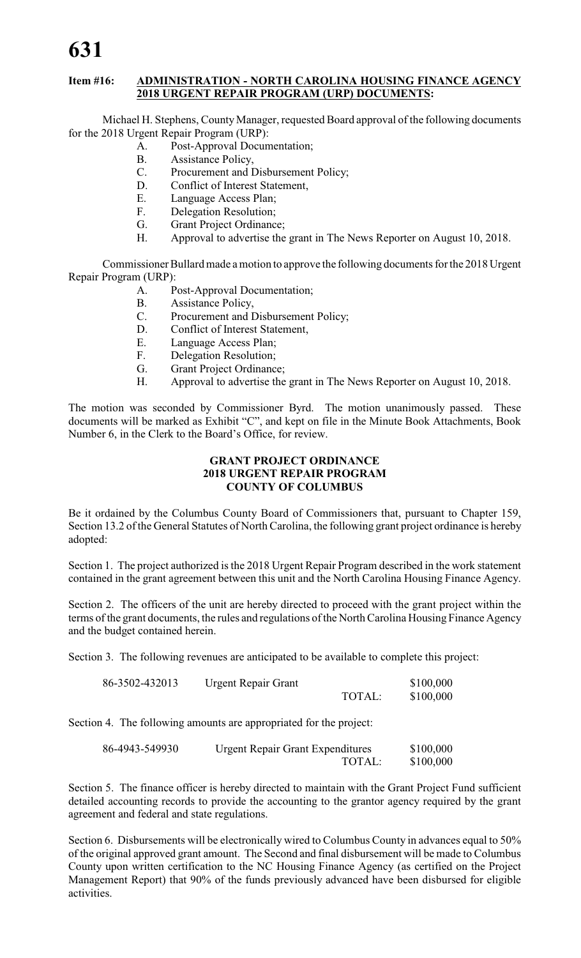# **631**

# **Item #16: ADMINISTRATION - NORTH CAROLINA HOUSING FINANCE AGENCY 2018 URGENT REPAIR PROGRAM (URP) DOCUMENTS:**

Michael H. Stephens, County Manager, requested Board approval of the following documents for the 2018 Urgent Repair Program (URP):

- A. Post-Approval Documentation;
- B. Assistance Policy,
- C. Procurement and Disbursement Policy;
- D. Conflict of Interest Statement,
- E. Language Access Plan;
- F. Delegation Resolution;<br>G. Grant Proiect Ordinance
- Grant Project Ordinance;
- H. Approval to advertise the grant in The News Reporter on August 10, 2018.

Commissioner Bullard made a motion to approve the following documents for the 2018 Urgent Repair Program (URP):

- A. Post-Approval Documentation;
- B. Assistance Policy,
- C. Procurement and Disbursement Policy;
- D. Conflict of Interest Statement,
- E. Language Access Plan;
- F. Delegation Resolution;
- G. Grant Project Ordinance;
- H. Approval to advertise the grant in The News Reporter on August 10, 2018.

The motion was seconded by Commissioner Byrd. The motion unanimously passed. These documents will be marked as Exhibit "C", and kept on file in the Minute Book Attachments, Book Number 6, in the Clerk to the Board's Office, for review.

#### **GRANT PROJECT ORDINANCE 2018 URGENT REPAIR PROGRAM COUNTY OF COLUMBUS**

Be it ordained by the Columbus County Board of Commissioners that, pursuant to Chapter 159, Section 13.2 of the General Statutes of North Carolina, the following grant project ordinance is hereby adopted:

Section 1. The project authorized is the 2018 Urgent Repair Program described in the work statement contained in the grant agreement between this unit and the North Carolina Housing Finance Agency.

Section 2. The officers of the unit are hereby directed to proceed with the grant project within the terms of the grant documents, the rules and regulations of the North Carolina Housing Finance Agency and the budget contained herein.

Section 3. The following revenues are anticipated to be available to complete this project:

| 86-3502-432013 | <b>Urgent Repair Grant</b> |        | \$100,000 |
|----------------|----------------------------|--------|-----------|
|                |                            | TOTAL: | \$100,000 |

Section 4. The following amounts are appropriated for the project:

| 86-4943-549930 | <b>Urgent Repair Grant Expenditures</b> | \$100,000 |
|----------------|-----------------------------------------|-----------|
|                | TOTAL:                                  | \$100,000 |

Section 5. The finance officer is hereby directed to maintain with the Grant Project Fund sufficient detailed accounting records to provide the accounting to the grantor agency required by the grant agreement and federal and state regulations.

Section 6. Disbursements will be electronically wired to Columbus County in advances equal to 50% of the original approved grant amount. The Second and final disbursement will be made to Columbus County upon written certification to the NC Housing Finance Agency (as certified on the Project Management Report) that 90% of the funds previously advanced have been disbursed for eligible activities.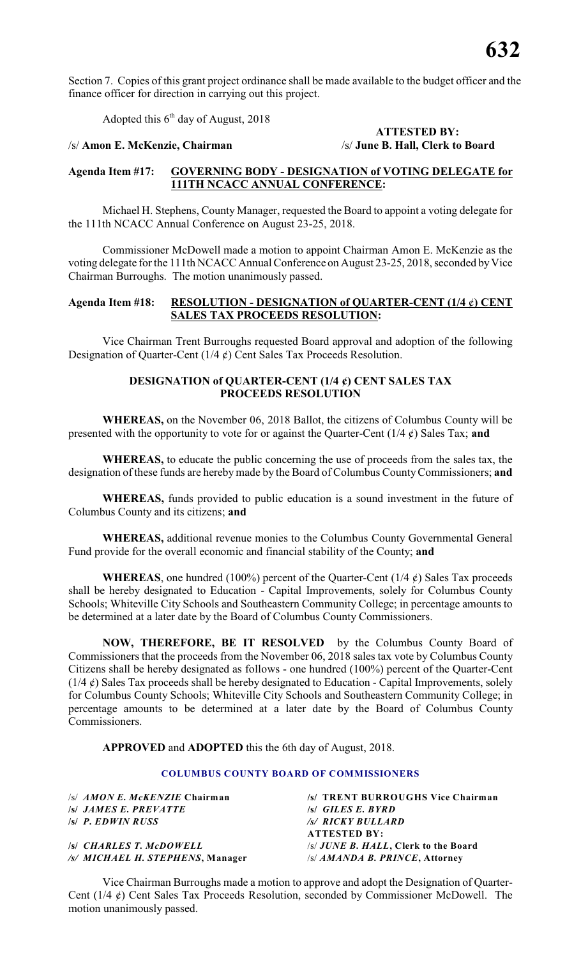Section 7. Copies of this grant project ordinance shall be made available to the budget officer and the finance officer for direction in carrying out this project.

Adopted this  $6<sup>th</sup>$  day of August, 2018

#### /s/ **Amon E. McKenzie, Chairman** /s/ **June B. Hall, Clerk to Board**

# **ATTESTED BY:**

# **Agenda Item #17: GOVERNING BODY - DESIGNATION of VOTING DELEGATE for 111TH NCACC ANNUAL CONFERENCE:**

Michael H. Stephens, County Manager, requested the Board to appoint a voting delegate for the 111th NCACC Annual Conference on August 23-25, 2018.

Commissioner McDowell made a motion to appoint Chairman Amon E. McKenzie as the voting delegate for the 111th NCACC Annual Conference on August 23-25, 2018, seconded by Vice Chairman Burroughs. The motion unanimously passed.

### **Agenda Item #18: RESOLUTION - DESIGNATION of QUARTER-CENT (1/4** ¢**) CENT SALES TAX PROCEEDS RESOLUTION:**

Vice Chairman Trent Burroughs requested Board approval and adoption of the following Designation of Quarter-Cent  $(1/4 \phi)$  Cent Sales Tax Proceeds Resolution.

# **DESIGNATION of QUARTER-CENT (1/4 ¢) CENT SALES TAX PROCEEDS RESOLUTION**

**WHEREAS,** on the November 06, 2018 Ballot, the citizens of Columbus County will be presented with the opportunity to vote for or against the Quarter-Cent (1/4 ¢) Sales Tax; **and**

**WHEREAS,** to educate the public concerning the use of proceeds from the sales tax, the designation of these funds are hereby made by the Board of Columbus County Commissioners; **and**

**WHEREAS,** funds provided to public education is a sound investment in the future of Columbus County and its citizens; **and**

**WHEREAS,** additional revenue monies to the Columbus County Governmental General Fund provide for the overall economic and financial stability of the County; **and**

**WHEREAS**, one hundred (100%) percent of the Quarter-Cent ( $1/4 \notin$ ) Sales Tax proceeds shall be hereby designated to Education - Capital Improvements, solely for Columbus County Schools; Whiteville City Schools and Southeastern Community College; in percentage amounts to be determined at a later date by the Board of Columbus County Commissioners.

**NOW, THEREFORE, BE IT RESOLVED** by the Columbus County Board of Commissioners that the proceeds from the November 06, 2018 sales tax vote by Columbus County Citizens shall be hereby designated as follows - one hundred (100%) percent of the Quarter-Cent  $(1/4 \ell)$  Sales Tax proceeds shall be hereby designated to Education - Capital Improvements, solely for Columbus County Schools; Whiteville City Schools and Southeastern Community College; in percentage amounts to be determined at a later date by the Board of Columbus County Commissioners.

**APPROVED** and **ADOPTED** this the 6th day of August, 2018.

#### **COLUMBUS COUNTY BOARD OF COMMISSIONERS**

| /s/ AMON E. McKENZIE Chairman    | /s/ TRENT BURROUGHS Vice Chairman     |
|----------------------------------|---------------------------------------|
| <b>S JAMES E. PREVATTE</b>       | $\mathcal{S}$ GILES E. BYRD           |
| <b>S P. EDWIN RUSS</b>           | /s/ RICKY BULLARD                     |
|                                  | <b>ATTESTED BY:</b>                   |
| <b>ISI CHARLES T. McDOWELL</b>   | /s/ JUNE B. HALL, Clerk to the Board  |
| /s/ MICHAEL H. STEPHENS, Manager | $\sqrt{s}/AMANDA$ B. PRINCE, Attorney |
|                                  |                                       |

Vice Chairman Burroughs made a motion to approve and adopt the Designation of Quarter-Cent ( $1/4 \notin$ ) Cent Sales Tax Proceeds Resolution, seconded by Commissioner McDowell. The motion unanimously passed.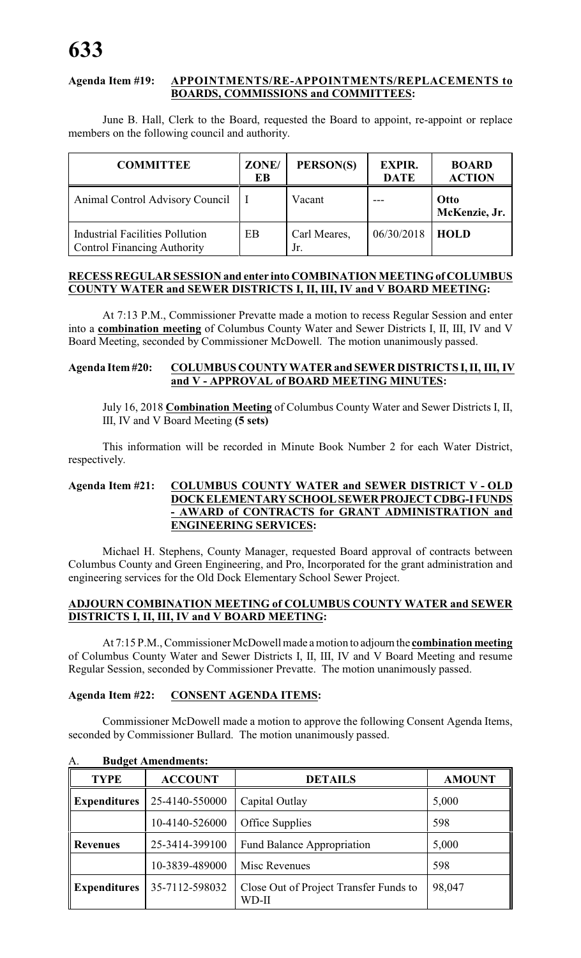# **Agenda Item #19: APPOINTMENTS/RE-APPOINTMENTS/REPLACEMENTS to BOARDS, COMMISSIONS and COMMITTEES:**

June B. Hall, Clerk to the Board, requested the Board to appoint, re-appoint or replace members on the following council and authority.

| <b>COMMITTEE</b>                                                             | ZONE/<br>EB | PERSON(S)           | <b>EXPIR.</b><br><b>DATE</b> | <b>BOARD</b><br><b>ACTION</b> |
|------------------------------------------------------------------------------|-------------|---------------------|------------------------------|-------------------------------|
| Animal Control Advisory Council                                              |             | Vacant              |                              | Otto<br>McKenzie, Jr.         |
| <b>Industrial Facilities Pollution</b><br><b>Control Financing Authority</b> | EB          | Carl Meares,<br>Jr. | 06/30/2018                   | <b>HOLD</b>                   |

# **RECESS REGULAR SESSION and enter into COMBINATION MEETING of COLUMBUS COUNTY WATER and SEWER DISTRICTS I, II, III, IV and V BOARD MEETING:**

At 7:13 P.M., Commissioner Prevatte made a motion to recess Regular Session and enter into a **combination meeting** of Columbus County Water and Sewer Districts I, II, III, IV and V Board Meeting, seconded by Commissioner McDowell. The motion unanimously passed.

# **Agenda Item #20: COLUMBUS COUNTY WATER and SEWER DISTRICTS I, II, III, IV and V - APPROVAL of BOARD MEETING MINUTES:**

July 16, 2018 **Combination Meeting** of Columbus County Water and Sewer Districts I, II, III, IV and V Board Meeting **(5 sets)**

This information will be recorded in Minute Book Number 2 for each Water District, respectively.

# **Agenda Item #21: COLUMBUS COUNTY WATER and SEWER DISTRICT V - OLD DOCK ELEMENTARY SCHOOL SEWER PROJECT CDBG-I FUNDS - AWARD of CONTRACTS for GRANT ADMINISTRATION and ENGINEERING SERVICES:**

Michael H. Stephens, County Manager, requested Board approval of contracts between Columbus County and Green Engineering, and Pro, Incorporated for the grant administration and engineering services for the Old Dock Elementary School Sewer Project.

# **ADJOURN COMBINATION MEETING of COLUMBUS COUNTY WATER and SEWER DISTRICTS I, II, III, IV and V BOARD MEETING:**

At 7:15 P.M., Commissioner McDowell made a motion to adjourn the **combination meeting** of Columbus County Water and Sewer Districts I, II, III, IV and V Board Meeting and resume Regular Session, seconded by Commissioner Prevatte. The motion unanimously passed.

# **Agenda Item #22: CONSENT AGENDA ITEMS:**

Commissioner McDowell made a motion to approve the following Consent Agenda Items, seconded by Commissioner Bullard. The motion unanimously passed.

| <b>TYPE</b>         | <b>ACCOUNT</b> | <b>DETAILS</b>                                  | <b>AMOUNT</b> |
|---------------------|----------------|-------------------------------------------------|---------------|
| <b>Expenditures</b> | 25-4140-550000 | Capital Outlay                                  | 5,000         |
|                     | 10-4140-526000 | Office Supplies                                 | 598           |
| <b>Revenues</b>     | 25-3414-399100 | <b>Fund Balance Appropriation</b>               | 5,000         |
|                     | 10-3839-489000 | Misc Revenues                                   | 598           |
| <b>Expenditures</b> | 35-7112-598032 | Close Out of Project Transfer Funds to<br>WD-II | 98,047        |

A. **Budget Amendments:**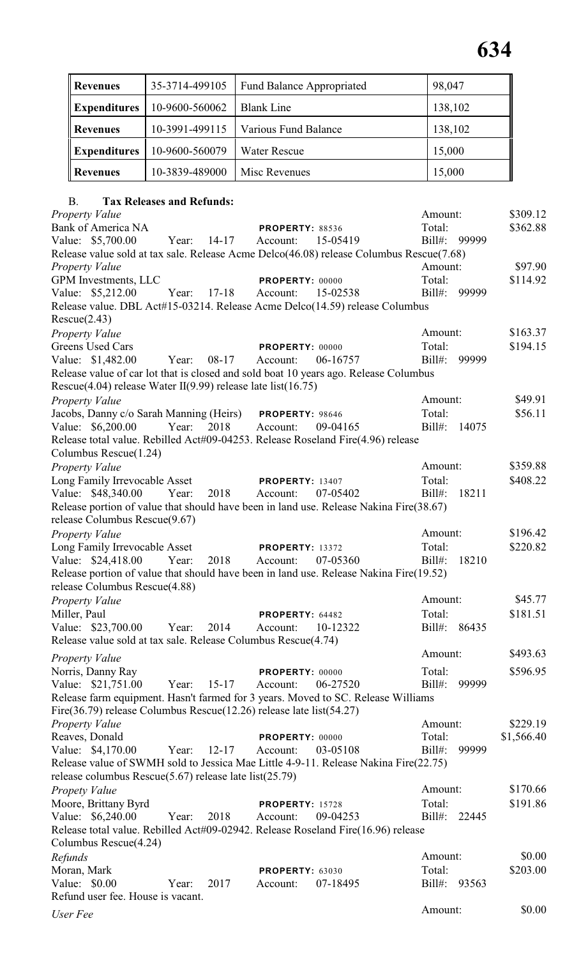| Revenues            | 35-3714-499105 | <b>Fund Balance Appropriated</b> | 98,047  |
|---------------------|----------------|----------------------------------|---------|
| <b>Expenditures</b> | 10-9600-560062 | <b>Blank Line</b>                | 138,102 |
| <b>Revenues</b>     | 10-3991-499115 | Various Fund Balance             | 138,102 |
| <b>Expenditures</b> | 10-9600-560079 | <b>Water Rescue</b>              | 15,000  |
| Revenues            | 10-3839-489000 | Misc Revenues                    | 15,000  |

# B. **Tax Releases and Refunds:**

| <b>Property Value</b>                                                                                                                                   |       |           |                        |          | Amount:   |       | \$309.12   |
|---------------------------------------------------------------------------------------------------------------------------------------------------------|-------|-----------|------------------------|----------|-----------|-------|------------|
| <b>Bank of America NA</b>                                                                                                                               |       |           | <b>PROPERTY: 88536</b> |          | Total:    |       | \$362.88   |
| Value: \$5,700.00                                                                                                                                       | Year: | $14-17$   | Account:               | 15-05419 | $Bill#$ : | 99999 |            |
| Release value sold at tax sale. Release Acme Delco(46.08) release Columbus Rescue(7.68)                                                                 |       |           |                        |          |           |       |            |
| <b>Property Value</b>                                                                                                                                   |       |           |                        |          | Amount:   |       | \$97.90    |
| GPM Investments, LLC                                                                                                                                    |       |           | PROPERTY: 00000        |          | Total:    |       | \$114.92   |
| Value: \$5,212.00                                                                                                                                       | Year: | $17 - 18$ | Account:               | 15-02538 | $Bill#$ : | 99999 |            |
| Release value. DBL Act#15-03214. Release Acme Delco(14.59) release Columbus<br>Rescue(2.43)                                                             |       |           |                        |          |           |       |            |
| <b>Property Value</b>                                                                                                                                   |       |           |                        |          | Amount:   |       | \$163.37   |
| Greens Used Cars                                                                                                                                        |       |           | PROPERTY: 00000        |          | Total:    |       | \$194.15   |
| Value: \$1,482.00                                                                                                                                       | Year: | 08-17     | Account:               | 06-16757 | $Bill#$ : | 99999 |            |
| Release value of car lot that is closed and sold boat 10 years ago. Release Columbus                                                                    |       |           |                        |          |           |       |            |
| Rescue $(4.04)$ release Water II $(9.99)$ release late list $(16.75)$                                                                                   |       |           |                        |          |           |       |            |
| <b>Property Value</b>                                                                                                                                   |       |           |                        |          | Amount:   |       | \$49.91    |
| Jacobs, Danny c/o Sarah Manning (Heirs) PROPERTY: 98646                                                                                                 |       |           |                        |          | Total:    |       | \$56.11    |
| Value: \$6,200.00                                                                                                                                       | Year: | 2018      | Account:               | 09-04165 | $Bill#$ : | 14075 |            |
| Release total value. Rebilled Act#09-04253. Release Roseland Fire(4.96) release<br>Columbus Rescue(1.24)                                                |       |           |                        |          |           |       |            |
| Property Value                                                                                                                                          |       |           |                        |          | Amount:   |       | \$359.88   |
| Long Family Irrevocable Asset                                                                                                                           |       |           | <b>PROPERTY: 13407</b> |          | Total:    |       | \$408.22   |
| Value: \$48,340.00                                                                                                                                      | Year: | 2018      | Account:               | 07-05402 | $Bill#$ : | 18211 |            |
| Release portion of value that should have been in land use. Release Nakina Fire(38.67)                                                                  |       |           |                        |          |           |       |            |
| release Columbus Rescue(9.67)                                                                                                                           |       |           |                        |          |           |       |            |
| Property Value                                                                                                                                          |       |           |                        |          | Amount:   |       | \$196.42   |
| Long Family Irrevocable Asset                                                                                                                           |       |           | <b>PROPERTY: 13372</b> |          | Total:    |       | \$220.82   |
| Value: \$24,418.00                                                                                                                                      | Year: | 2018      | Account:               | 07-05360 | $Bill#$ : | 18210 |            |
| Release portion of value that should have been in land use. Release Nakina Fire(19.52)<br>release Columbus Rescue(4.88)                                 |       |           |                        |          |           |       |            |
| Property Value                                                                                                                                          |       |           |                        |          | Amount:   |       | \$45.77    |
| Miller, Paul                                                                                                                                            |       |           | PROPERTY: 64482        |          | Total:    |       | \$181.51   |
| Value: \$23,700.00                                                                                                                                      | Year: | 2014      | Account:               | 10-12322 | $Bill#$ : | 86435 |            |
| Release value sold at tax sale. Release Columbus Rescue(4.74)                                                                                           |       |           |                        |          |           |       |            |
|                                                                                                                                                         |       |           |                        |          | Amount:   |       | \$493.63   |
| <b>Property Value</b>                                                                                                                                   |       |           |                        |          |           |       |            |
| Norris, Danny Ray                                                                                                                                       |       |           | PROPERTY: 00000        |          | Total:    |       | \$596.95   |
| Value: \$21,751.00                                                                                                                                      | Year: | $15 - 17$ | Account:               | 06-27520 | $Bill#$ : | 99999 |            |
| Release farm equipment. Hasn't farmed for 3 years. Moved to SC. Release Williams<br>Fire(36.79) release Columbus Rescue(12.26) release late list(54.27) |       |           |                        |          |           |       |            |
| <b>Property Value</b>                                                                                                                                   |       |           |                        |          | Amount:   |       | \$229.19   |
| Reaves, Donald                                                                                                                                          |       |           | PROPERTY: 00000        |          | Total:    |       | \$1,566.40 |
| Value: \$4,170.00                                                                                                                                       | Year: | $12 - 17$ | Account:               | 03-05108 | $Bill#$ : | 99999 |            |
| Release value of SWMH sold to Jessica Mae Little 4-9-11. Release Nakina Fire(22.75)<br>release columbus Rescue $(5.67)$ release late list $(25.79)$     |       |           |                        |          |           |       |            |
| Propety Value                                                                                                                                           |       |           |                        |          | Amount:   |       | \$170.66   |
|                                                                                                                                                         |       |           |                        |          | Total:    |       |            |
| Moore, Brittany Byrd                                                                                                                                    |       |           | <b>PROPERTY: 15728</b> |          |           |       | \$191.86   |
| Value: \$6,240.00                                                                                                                                       | Year: | 2018      | Account:               | 09-04253 | $Bill#$ : | 22445 |            |
| Release total value. Rebilled Act#09-02942. Release Roseland Fire(16.96) release                                                                        |       |           |                        |          |           |       |            |
| Columbus Rescue(4.24)                                                                                                                                   |       |           |                        |          |           |       |            |
| Refunds                                                                                                                                                 |       |           |                        |          | Amount:   |       | \$0.00     |
| Moran, Mark                                                                                                                                             |       |           | <b>PROPERTY: 63030</b> |          | Total:    |       | \$203.00   |
| Value: \$0.00                                                                                                                                           | Year: | 2017      | Account:               | 07-18495 | $Bill#$ : | 93563 |            |
| Refund user fee. House is vacant.                                                                                                                       |       |           |                        |          | Amount:   |       | \$0.00     |
| User Fee                                                                                                                                                |       |           |                        |          |           |       |            |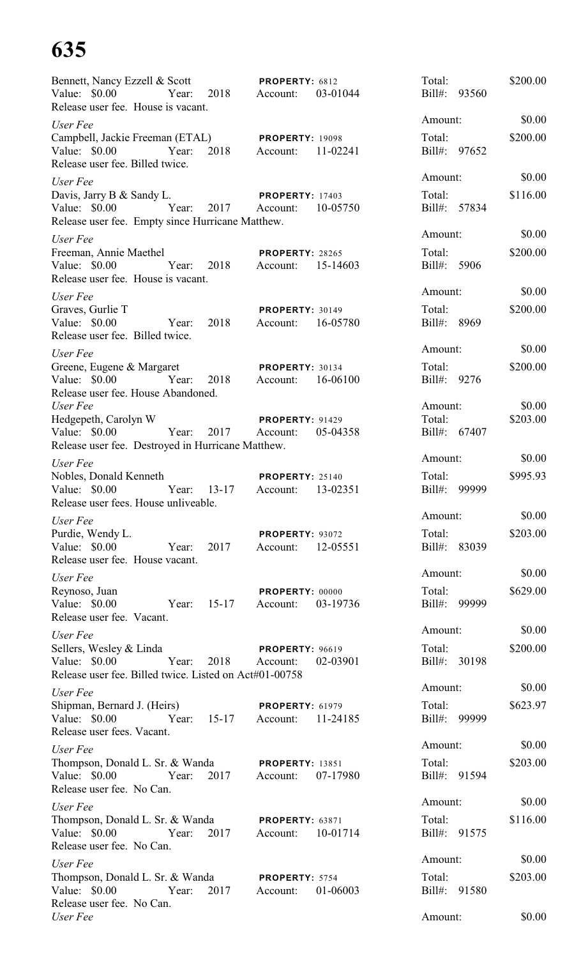# **635**

| Bennett, Nancy Ezzell & Scott<br>Value: $$0.00$<br>Release user fee. House is vacant.                                              |       | Year: 2018 Account:  | <b>PROPERTY: 6812</b>                       | 03-01044 | Total:                      | Bill#: 93560 | \$200.00 |
|------------------------------------------------------------------------------------------------------------------------------------|-------|----------------------|---------------------------------------------|----------|-----------------------------|--------------|----------|
| User Fee                                                                                                                           |       |                      |                                             |          | Amount:                     |              | \$0.00   |
| Campbell, Jackie Freeman (ETAL) PROPERTY: 19098<br>Value: $$0.00$<br>Release user fee. Billed twice.                               |       |                      | Year: 2018 Account:                         | 11-02241 | Total:<br>Bill#: 97652      |              | \$200.00 |
| User Fee                                                                                                                           |       |                      |                                             |          | Amount:                     |              | \$0.00   |
| Davis, Jarry B & Sandy L. PROPERTY: 17403<br>Value: \$0.00 Year: 2017 Account:<br>Release user fee. Empty since Hurricane Matthew. |       |                      |                                             | 10-05750 | Total:                      | Bill#: 57834 | \$116.00 |
| User Fee                                                                                                                           |       |                      |                                             |          | Amount:                     |              | \$0.00   |
| Freeman, Annie Maethel<br>Value: \$0.00 Year: 2018 Account:<br>Release user fee. House is vacant.                                  |       |                      | <b>PROPERTY: 28265</b>                      | 15-14603 | Total:<br>Bill#: 5906       |              | \$200.00 |
| User Fee                                                                                                                           |       |                      |                                             |          | Amount:                     |              | \$0.00   |
| Graves, Gurlie T<br>Value: \$0.00<br>Release user fee. Billed twice.                                                               |       | Year: 2018           | PROPERTY: 30149<br>Account: 16-05780        |          | Total:<br>Bill#: 8969       |              | \$200.00 |
| User Fee                                                                                                                           |       |                      |                                             |          | Amount:                     |              | \$0.00   |
| Greene, Eugene & Margaret<br>Value: \$0.00 Year:<br>Release user fee. House Abandoned.                                             |       | 2018                 | <b>PROPERTY: 30134</b><br>Account: 16-06100 |          | Total:<br>Bill#: 9276       |              | \$200.00 |
| User Fee                                                                                                                           |       |                      |                                             |          | Amount:                     |              | \$0.00   |
| Hedgepeth, Carolyn W PROPERTY: 91429<br>Value: \$0.00 Year: 2017 Account:<br>Release user fee. Destroyed in Hurricane Matthew.     |       |                      |                                             | 05-04358 | Total:                      | Bill#: 67407 | \$203.00 |
| User Fee                                                                                                                           |       |                      |                                             |          | Amount:                     |              | \$0.00   |
| Nobles, Donald Kenneth<br>Value: \$0.00<br>Release user fees. House unliveable.                                                    |       | Year: 13-17 Account: | <b>PROPERTY: 25140</b>                      | 13-02351 | Total:                      | Bill#: 99999 | \$995.93 |
| User Fee                                                                                                                           |       |                      |                                             |          | Amount:                     |              | \$0.00   |
| Purdie, Wendy L.<br>Value: \$0.00<br>Release user fee. House vacant.                                                               | Year: | 2017                 | <b>PROPERTY: 93072</b><br>Account:          | 12-05551 | Total:                      | Bill#: 83039 | \$203.00 |
| User Fee                                                                                                                           |       |                      |                                             |          | Amount:                     |              | \$0.00   |
| Reynoso, Juan<br>Value: \$0.00<br>Release user fee. Vacant.                                                                        | Year: | $15 - 17$            | PROPERTY: 00000<br>Account:                 | 03-19736 | Total:<br>$\text{Bill}\#$ : | 99999        | \$629.00 |
| User Fee                                                                                                                           |       |                      |                                             |          | Amount:                     |              | \$0.00   |
| Sellers, Wesley & Linda<br>Value: \$0.00<br>Release user fee. Billed twice. Listed on Act#01-00758                                 | Year: | 2018                 | <b>PROPERTY: 96619</b><br>Account:          | 02-03901 | Total:<br>$Bill#$ :         | 30198        | \$200.00 |
| User Fee                                                                                                                           |       |                      |                                             |          | Amount:                     |              | \$0.00   |
| Shipman, Bernard J. (Heirs)<br>Value: \$0.00<br>Release user fees. Vacant.                                                         | Year: | $15 - 17$            | <b>PROPERTY: 61979</b><br>Account:          | 11-24185 | Total:<br>Bill#:            | 99999        | \$623.97 |
| User Fee                                                                                                                           |       |                      |                                             |          | Amount:                     |              | \$0.00   |
| Thompson, Donald L. Sr. & Wanda<br>Value: $$0.00$<br>Release user fee. No Can.                                                     | Year: | 2017                 | <b>PROPERTY: 13851</b><br>Account:          | 07-17980 | Total:                      | Bill#: 91594 | \$203.00 |
| User Fee                                                                                                                           |       |                      |                                             |          | Amount:                     |              | \$0.00   |
| Thompson, Donald L. Sr. & Wanda<br>Value: $$0.00$<br>Release user fee. No Can.                                                     | Year: | 2017                 | <b>PROPERTY: 63871</b><br>Account:          | 10-01714 | Total:                      | Bill#: 91575 | \$116.00 |
| User Fee                                                                                                                           |       |                      |                                             |          | Amount:                     |              | \$0.00   |
| Thompson, Donald L. Sr. & Wanda<br>Value: \$0.00<br>Release user fee. No Can.                                                      | Year: | 2017                 | PROPERTY: 5754<br>Account:                  | 01-06003 | Total:                      | Bill#: 91580 | \$203.00 |
| User Fee                                                                                                                           |       |                      |                                             |          | Amount:                     |              | \$0.00   |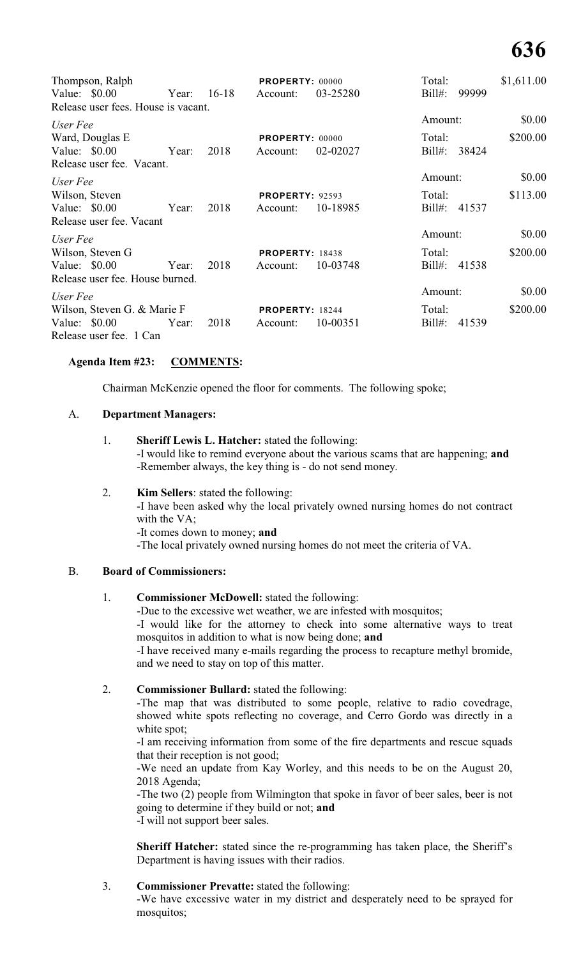# **636**

| Thompson, Ralph                     |             |      | <b>PROPERTY: 00000</b> |          | Total:       |       | \$1,611.00 |
|-------------------------------------|-------------|------|------------------------|----------|--------------|-------|------------|
| Value: $$0.00$                      | Year: 16-18 |      | Account:               | 03-25280 | $Bill#$ :    | 99999 |            |
| Release user fees. House is vacant. |             |      |                        |          |              |       |            |
| User Fee                            |             |      |                        |          | Amount:      |       | \$0.00     |
| Ward, Douglas E                     |             |      | <b>PROPERTY: 00000</b> |          | Total:       |       | \$200.00   |
| Value: $$0.00$                      | Year:       | 2018 | Account:               | 02-02027 | $Bill#$ :    | 38424 |            |
| Release user fee. Vacant.           |             |      |                        |          |              |       |            |
| User Fee                            |             |      |                        |          | Amount:      |       | \$0.00     |
| Wilson, Steven                      |             |      | <b>PROPERTY: 92593</b> |          | Total:       |       | \$113.00   |
| Value: $$0.00$                      | Year:       | 2018 | Account:               | 10-18985 | Bill#: 41537 |       |            |
| Release user fee. Vacant            |             |      |                        |          |              |       |            |
| User Fee                            |             |      |                        |          | Amount:      |       | \$0.00     |
| Wilson, Steven G                    |             |      | <b>PROPERTY: 18438</b> |          | Total:       |       | \$200.00   |
| Value: $$0.00$                      | Year:       | 2018 | Account:               | 10-03748 | $Bill#$ :    | 41538 |            |
| Release user fee. House burned.     |             |      |                        |          |              |       |            |
| User Fee                            |             |      |                        |          | Amount:      |       | \$0.00     |
| Wilson, Steven G. & Marie F         |             |      | <b>PROPERTY: 18244</b> |          | Total:       |       | \$200.00   |
| Value: $$0.00$                      | Year:       | 2018 | Account:               | 10-00351 | $Bill#$ :    | 41539 |            |
| Release user fee. 1 Can             |             |      |                        |          |              |       |            |

# **Agenda Item #23: COMMENTS:**

Chairman McKenzie opened the floor for comments. The following spoke;

#### A. **Department Managers:**

#### 1. **Sheriff Lewis L. Hatcher:** stated the following:

-I would like to remind everyone about the various scams that are happening; **and** -Remember always, the key thing is - do not send money.

#### 2. **Kim Sellers**: stated the following:

-I have been asked why the local privately owned nursing homes do not contract with the VA;

-It comes down to money; **and**

-The local privately owned nursing homes do not meet the criteria of VA.

#### B. **Board of Commissioners:**

# 1. **Commissioner McDowell:** stated the following:

-Due to the excessive wet weather, we are infested with mosquitos;

-I would like for the attorney to check into some alternative ways to treat mosquitos in addition to what is now being done; **and**

-I have received many e-mails regarding the process to recapture methyl bromide, and we need to stay on top of this matter.

# 2. **Commissioner Bullard:** stated the following:

-The map that was distributed to some people, relative to radio covedrage, showed white spots reflecting no coverage, and Cerro Gordo was directly in a white spot;

-I am receiving information from some of the fire departments and rescue squads that their reception is not good;

-We need an update from Kay Worley, and this needs to be on the August 20, 2018 Agenda;

-The two (2) people from Wilmington that spoke in favor of beer sales, beer is not going to determine if they build or not; **and**

-I will not support beer sales.

**Sheriff Hatcher:** stated since the re-programming has taken place, the Sheriff's Department is having issues with their radios.

# 3. **Commissioner Prevatte:** stated the following:

-We have excessive water in my district and desperately need to be sprayed for mosquitos;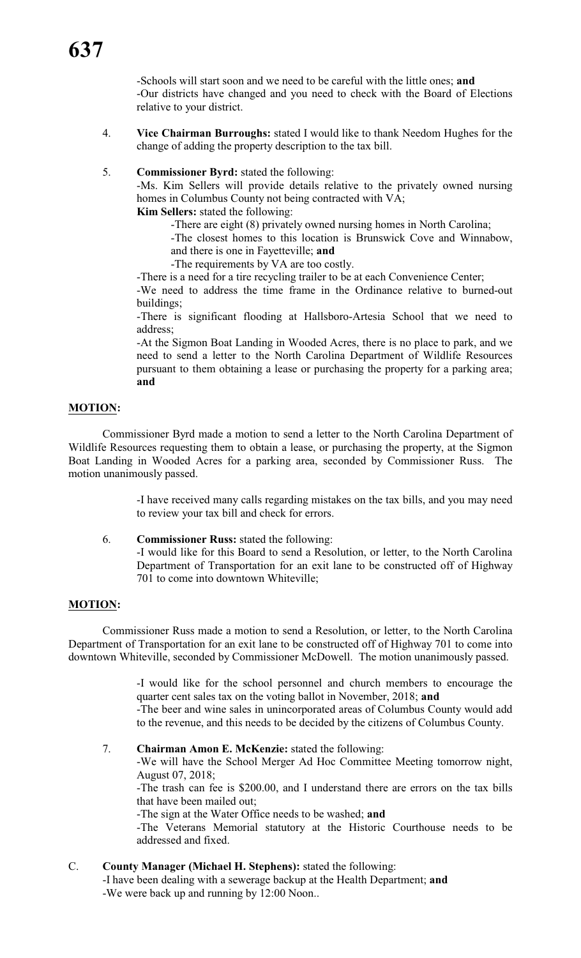-Schools will start soon and we need to be careful with the little ones; **and** -Our districts have changed and you need to check with the Board of Elections relative to your district.

- 4. **Vice Chairman Burroughs:** stated I would like to thank Needom Hughes for the change of adding the property description to the tax bill.
- 5. **Commissioner Byrd:** stated the following:

-Ms. Kim Sellers will provide details relative to the privately owned nursing homes in Columbus County not being contracted with VA;

**Kim Sellers:** stated the following:

-There are eight (8) privately owned nursing homes in North Carolina;

-The closest homes to this location is Brunswick Cove and Winnabow, and there is one in Fayetteville; **and**

-The requirements by VA are too costly.

-There is a need for a tire recycling trailer to be at each Convenience Center;

-We need to address the time frame in the Ordinance relative to burned-out buildings;

-There is significant flooding at Hallsboro-Artesia School that we need to address;

-At the Sigmon Boat Landing in Wooded Acres, there is no place to park, and we need to send a letter to the North Carolina Department of Wildlife Resources pursuant to them obtaining a lease or purchasing the property for a parking area; **and**

# **MOTION:**

Commissioner Byrd made a motion to send a letter to the North Carolina Department of Wildlife Resources requesting them to obtain a lease, or purchasing the property, at the Sigmon Boat Landing in Wooded Acres for a parking area, seconded by Commissioner Russ. The motion unanimously passed.

> -I have received many calls regarding mistakes on the tax bills, and you may need to review your tax bill and check for errors.

6. **Commissioner Russ:** stated the following:

-I would like for this Board to send a Resolution, or letter, to the North Carolina Department of Transportation for an exit lane to be constructed off of Highway 701 to come into downtown Whiteville;

# **MOTION:**

Commissioner Russ made a motion to send a Resolution, or letter, to the North Carolina Department of Transportation for an exit lane to be constructed off of Highway 701 to come into downtown Whiteville, seconded by Commissioner McDowell. The motion unanimously passed.

> -I would like for the school personnel and church members to encourage the quarter cent sales tax on the voting ballot in November, 2018; **and**

> -The beer and wine sales in unincorporated areas of Columbus County would add to the revenue, and this needs to be decided by the citizens of Columbus County.

7. **Chairman Amon E. McKenzie:** stated the following:

-We will have the School Merger Ad Hoc Committee Meeting tomorrow night, August 07, 2018;

-The trash can fee is \$200.00, and I understand there are errors on the tax bills that have been mailed out;

-The sign at the Water Office needs to be washed; **and**

-The Veterans Memorial statutory at the Historic Courthouse needs to be addressed and fixed.

C. **County Manager (Michael H. Stephens):** stated the following: -I have been dealing with a sewerage backup at the Health Department; **and**

-We were back up and running by 12:00 Noon..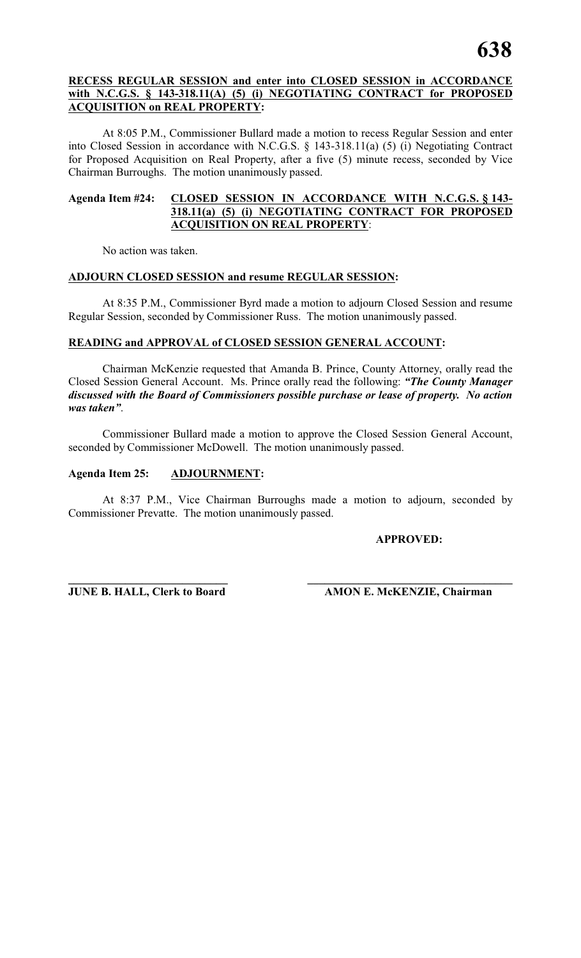# **RECESS REGULAR SESSION and enter into CLOSED SESSION in ACCORDANCE with N.C.G.S. § 143-318.11(A) (5) (i) NEGOTIATING CONTRACT for PROPOSED ACQUISITION on REAL PROPERTY:**

At 8:05 P.M., Commissioner Bullard made a motion to recess Regular Session and enter into Closed Session in accordance with N.C.G.S. § 143-318.11(a) (5) (i) Negotiating Contract for Proposed Acquisition on Real Property, after a five (5) minute recess, seconded by Vice Chairman Burroughs. The motion unanimously passed.

# **Agenda Item #24: CLOSED SESSION IN ACCORDANCE WITH N.C.G.S. § 143- 318.11(a) (5) (i) NEGOTIATING CONTRACT FOR PROPOSED ACQUISITION ON REAL PROPERTY**:

No action was taken.

# **ADJOURN CLOSED SESSION and resume REGULAR SESSION:**

At 8:35 P.M., Commissioner Byrd made a motion to adjourn Closed Session and resume Regular Session, seconded by Commissioner Russ. The motion unanimously passed.

# **READING and APPROVAL of CLOSED SESSION GENERAL ACCOUNT:**

Chairman McKenzie requested that Amanda B. Prince, County Attorney, orally read the Closed Session General Account. Ms. Prince orally read the following: *"The County Manager discussed with the Board of Commissioners possible purchase or lease of property. No action was taken"*.

Commissioner Bullard made a motion to approve the Closed Session General Account, seconded by Commissioner McDowell. The motion unanimously passed.

# **Agenda Item 25: ADJOURNMENT:**

At 8:37 P.M., Vice Chairman Burroughs made a motion to adjourn, seconded by Commissioner Prevatte. The motion unanimously passed.

# **APPROVED:**

**\_\_\_\_\_\_\_\_\_\_\_\_\_\_\_\_\_\_\_\_\_\_\_\_\_\_\_\_ \_\_\_\_\_\_\_\_\_\_\_\_\_\_\_\_\_\_\_\_\_\_\_\_\_\_\_\_\_\_\_\_\_\_\_\_**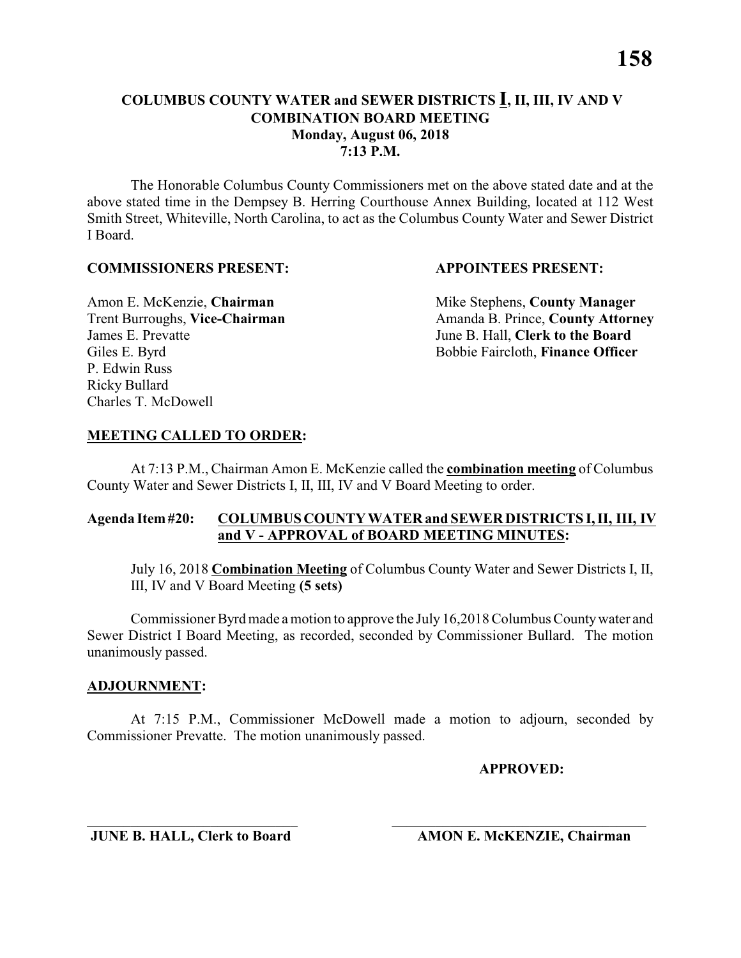The Honorable Columbus County Commissioners met on the above stated date and at the above stated time in the Dempsey B. Herring Courthouse Annex Building, located at 112 West Smith Street, Whiteville, North Carolina, to act as the Columbus County Water and Sewer District I Board.

#### **COMMISSIONERS PRESENT: APPOINTEES PRESENT:**

James E. Prevatte June B. Hall, **Clerk to the Board** P. Edwin Russ Ricky Bullard Charles T. McDowell

Amon E. McKenzie, **Chairman** Mike Stephens, **County Manager** Trent Burroughs, Vice-Chairman Amanda B. Prince, County Attorney Giles E. Byrd **Bobbie Faircloth, Finance Officer** 

### **MEETING CALLED TO ORDER:**

At 7:13 P.M., Chairman Amon E. McKenzie called the **combination meeting** of Columbus County Water and Sewer Districts I, II, III, IV and V Board Meeting to order.

### **Agenda Item #20: COLUMBUS COUNTY WATER and SEWER DISTRICTS I, II, III, IV and V - APPROVAL of BOARD MEETING MINUTES:**

July 16, 2018 **Combination Meeting** of Columbus County Water and Sewer Districts I, II, III, IV and V Board Meeting **(5 sets)**

Commissioner Byrd made a motion to approve the July 16,2018 Columbus County water and Sewer District I Board Meeting, as recorded, seconded by Commissioner Bullard. The motion unanimously passed.

#### **ADJOURNMENT:**

At 7:15 P.M., Commissioner McDowell made a motion to adjourn, seconded by Commissioner Prevatte. The motion unanimously passed.

\_\_\_\_\_\_\_\_\_\_\_\_\_\_\_\_\_\_\_\_\_\_\_\_\_\_\_\_\_ \_\_\_\_\_\_\_\_\_\_\_\_\_\_\_\_\_\_\_\_\_\_\_\_\_\_\_\_\_\_\_\_\_\_\_

**APPROVED:**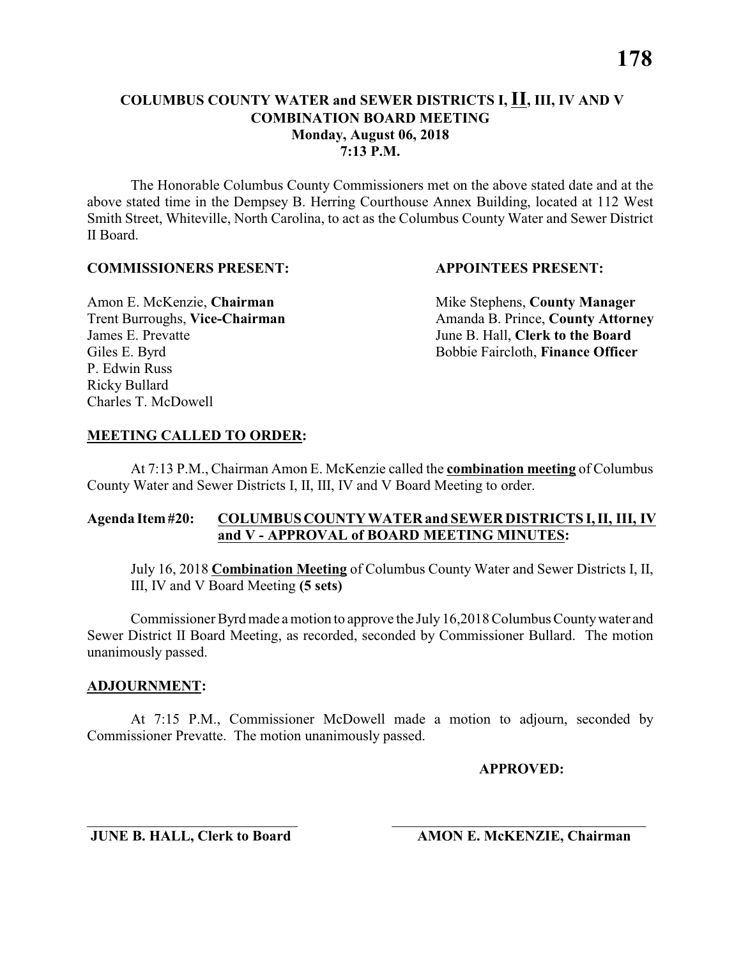The Honorable Columbus County Commissioners met on the above stated date and at the above stated time in the Dempsey B. Herring Courthouse Annex Building, located at 112 West Smith Street, Whiteville, North Carolina, to act as the Columbus County Water and Sewer District II Board.

#### **COMMISSIONERS PRESENT: APPOINTEES PRESENT:**

James E. Prevatte June B. Hall, **Clerk to the Board** P. Edwin Russ Ricky Bullard Charles T. McDowell

Amon E. McKenzie, **Chairman** Mike Stephens, **County Manager** Trent Burroughs, Vice-Chairman Amanda B. Prince, County Attorney Giles E. Byrd **Bobbie Faircloth, Finance Officer** 

### **MEETING CALLED TO ORDER:**

At 7:13 P.M., Chairman Amon E. McKenzie called the **combination meeting** of Columbus County Water and Sewer Districts I, II, III, IV and V Board Meeting to order.

### **Agenda Item #20: COLUMBUS COUNTY WATER and SEWER DISTRICTS I, II, III, IV and V - APPROVAL of BOARD MEETING MINUTES:**

July 16, 2018 **Combination Meeting** of Columbus County Water and Sewer Districts I, II, III, IV and V Board Meeting **(5 sets)**

Commissioner Byrd made a motion to approve the July 16,2018 Columbus County water and Sewer District II Board Meeting, as recorded, seconded by Commissioner Bullard. The motion unanimously passed.

#### **ADJOURNMENT:**

At 7:15 P.M., Commissioner McDowell made a motion to adjourn, seconded by Commissioner Prevatte. The motion unanimously passed.

\_\_\_\_\_\_\_\_\_\_\_\_\_\_\_\_\_\_\_\_\_\_\_\_\_\_\_\_\_ \_\_\_\_\_\_\_\_\_\_\_\_\_\_\_\_\_\_\_\_\_\_\_\_\_\_\_\_\_\_\_\_\_\_\_

**APPROVED:**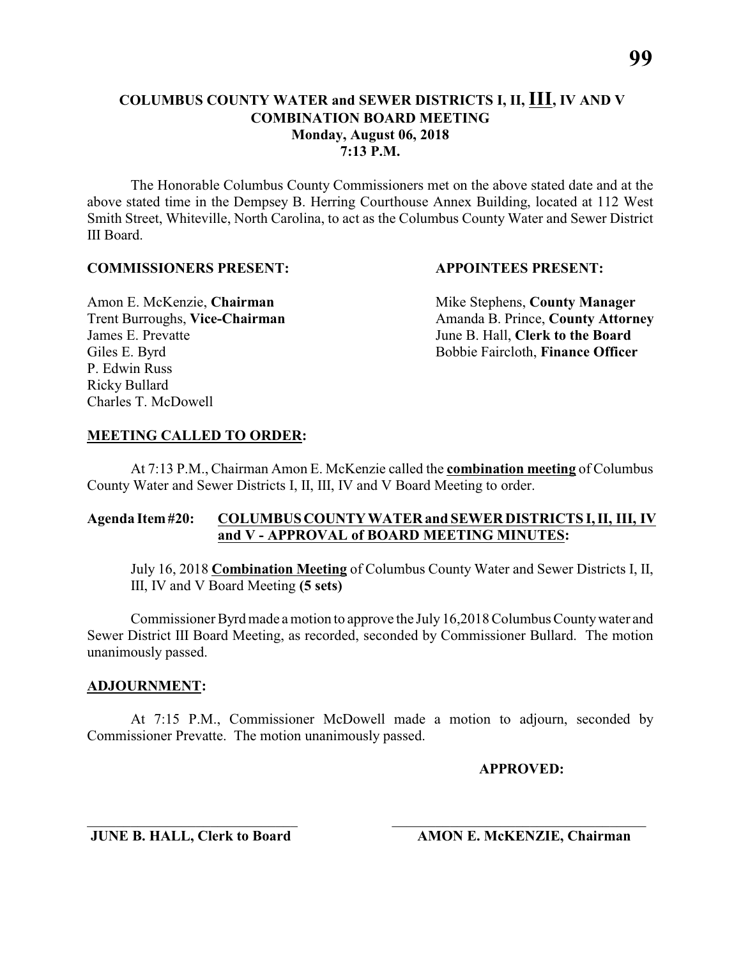The Honorable Columbus County Commissioners met on the above stated date and at the above stated time in the Dempsey B. Herring Courthouse Annex Building, located at 112 West Smith Street, Whiteville, North Carolina, to act as the Columbus County Water and Sewer District III Board.

#### **COMMISSIONERS PRESENT: APPOINTEES PRESENT:**

James E. Prevatte June B. Hall, **Clerk to the Board** P. Edwin Russ Ricky Bullard Charles T. McDowell

Amon E. McKenzie, **Chairman** Mike Stephens, **County Manager** Trent Burroughs, Vice-Chairman Amanda B. Prince, County Attorney Giles E. Byrd **Bobbie Faircloth, Finance Officer** 

### **MEETING CALLED TO ORDER:**

At 7:13 P.M., Chairman Amon E. McKenzie called the **combination meeting** of Columbus County Water and Sewer Districts I, II, III, IV and V Board Meeting to order.

### **Agenda Item #20: COLUMBUS COUNTY WATER and SEWER DISTRICTS I, II, III, IV and V - APPROVAL of BOARD MEETING MINUTES:**

July 16, 2018 **Combination Meeting** of Columbus County Water and Sewer Districts I, II, III, IV and V Board Meeting **(5 sets)**

Commissioner Byrd made a motion to approve the July 16,2018 Columbus County water and Sewer District III Board Meeting, as recorded, seconded by Commissioner Bullard. The motion unanimously passed.

#### **ADJOURNMENT:**

At 7:15 P.M., Commissioner McDowell made a motion to adjourn, seconded by Commissioner Prevatte. The motion unanimously passed.

\_\_\_\_\_\_\_\_\_\_\_\_\_\_\_\_\_\_\_\_\_\_\_\_\_\_\_\_\_ \_\_\_\_\_\_\_\_\_\_\_\_\_\_\_\_\_\_\_\_\_\_\_\_\_\_\_\_\_\_\_\_\_\_\_

**APPROVED:**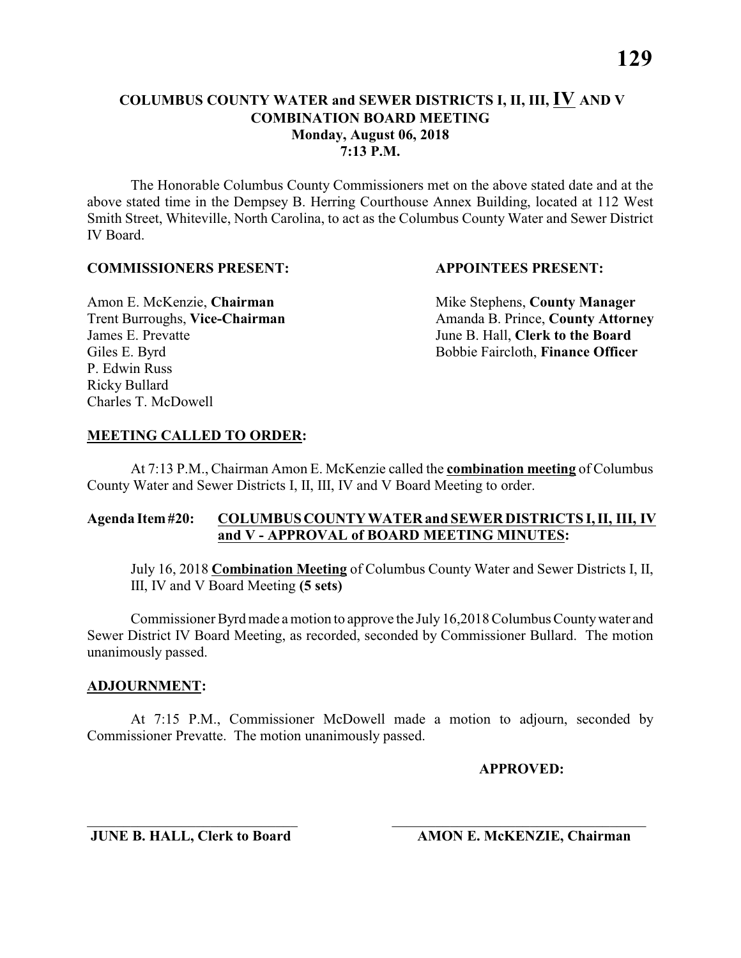The Honorable Columbus County Commissioners met on the above stated date and at the above stated time in the Dempsey B. Herring Courthouse Annex Building, located at 112 West Smith Street, Whiteville, North Carolina, to act as the Columbus County Water and Sewer District IV Board.

#### **COMMISSIONERS PRESENT: APPOINTEES PRESENT:**

James E. Prevatte June B. Hall, **Clerk to the Board** P. Edwin Russ Ricky Bullard Charles T. McDowell

Amon E. McKenzie, **Chairman** Mike Stephens, **County Manager** Trent Burroughs, Vice-Chairman Amanda B. Prince, County Attorney Giles E. Byrd **Bobbie Faircloth, Finance Officer** 

### **MEETING CALLED TO ORDER:**

At 7:13 P.M., Chairman Amon E. McKenzie called the **combination meeting** of Columbus County Water and Sewer Districts I, II, III, IV and V Board Meeting to order.

### **Agenda Item #20: COLUMBUS COUNTY WATER and SEWER DISTRICTS I, II, III, IV and V - APPROVAL of BOARD MEETING MINUTES:**

July 16, 2018 **Combination Meeting** of Columbus County Water and Sewer Districts I, II, III, IV and V Board Meeting **(5 sets)**

Commissioner Byrd made a motion to approve the July 16,2018 Columbus County water and Sewer District IV Board Meeting, as recorded, seconded by Commissioner Bullard. The motion unanimously passed.

#### **ADJOURNMENT:**

At 7:15 P.M., Commissioner McDowell made a motion to adjourn, seconded by Commissioner Prevatte. The motion unanimously passed.

\_\_\_\_\_\_\_\_\_\_\_\_\_\_\_\_\_\_\_\_\_\_\_\_\_\_\_\_\_ \_\_\_\_\_\_\_\_\_\_\_\_\_\_\_\_\_\_\_\_\_\_\_\_\_\_\_\_\_\_\_\_\_\_\_

**APPROVED:**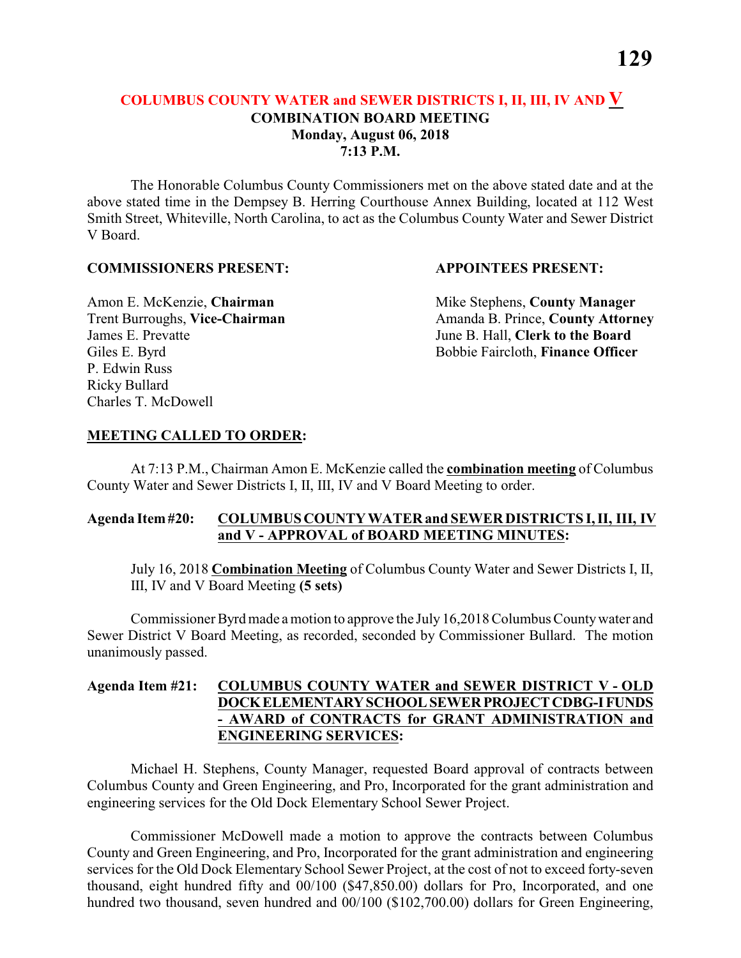The Honorable Columbus County Commissioners met on the above stated date and at the above stated time in the Dempsey B. Herring Courthouse Annex Building, located at 112 West Smith Street, Whiteville, North Carolina, to act as the Columbus County Water and Sewer District V Board.

#### **COMMISSIONERS PRESENT: APPOINTEES PRESENT:**

James E. Prevatte June B. Hall, **Clerk to the Board** P. Edwin Russ Ricky Bullard Charles T. McDowell

Amon E. McKenzie, **Chairman** Mike Stephens, **County Manager** Trent Burroughs, Vice-Chairman Amanda B. Prince, County Attorney Giles E. Byrd **Bobbie Faircloth, Finance Officer** 

### **MEETING CALLED TO ORDER:**

At 7:13 P.M., Chairman Amon E. McKenzie called the **combination meeting** of Columbus County Water and Sewer Districts I, II, III, IV and V Board Meeting to order.

### **Agenda Item #20: COLUMBUS COUNTY WATER and SEWER DISTRICTS I, II, III, IV and V - APPROVAL of BOARD MEETING MINUTES:**

July 16, 2018 **Combination Meeting** of Columbus County Water and Sewer Districts I, II, III, IV and V Board Meeting **(5 sets)**

Commissioner Byrd made a motion to approve the July 16,2018 Columbus County water and Sewer District V Board Meeting, as recorded, seconded by Commissioner Bullard. The motion unanimously passed.

# **Agenda Item #21: COLUMBUS COUNTY WATER and SEWER DISTRICT V - OLD DOCK ELEMENTARY SCHOOL SEWER PROJECT CDBG-I FUNDS - AWARD of CONTRACTS for GRANT ADMINISTRATION and ENGINEERING SERVICES:**

Michael H. Stephens, County Manager, requested Board approval of contracts between Columbus County and Green Engineering, and Pro, Incorporated for the grant administration and engineering services for the Old Dock Elementary School Sewer Project.

Commissioner McDowell made a motion to approve the contracts between Columbus County and Green Engineering, and Pro, Incorporated for the grant administration and engineering services for the Old Dock Elementary School Sewer Project, at the cost of not to exceed forty-seven thousand, eight hundred fifty and 00/100 (\$47,850.00) dollars for Pro, Incorporated, and one hundred two thousand, seven hundred and  $00/100$  (\$102,700.00) dollars for Green Engineering,